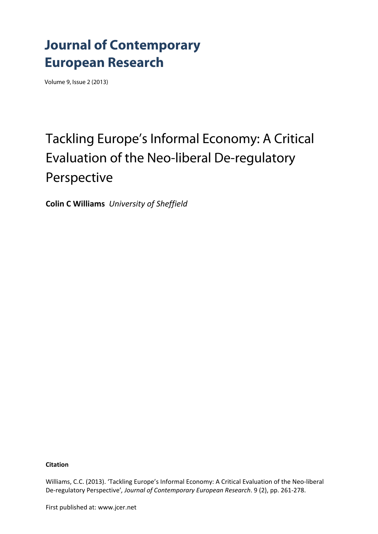## **Journal of Contemporary European Research**

Volume 9, Issue 2 (2013)

# Tackling Europe's Informal Economy: A Critical Evaluation of the Neo-liberal De-regulatory Perspective

**Colin C Williams** *University of Sheffield*

**Citation**

Williams, C.C. (2013). 'Tackling Europe's Informal Economy: A Critical Evaluation of the Neo-liberal De‐regulatory Perspective'*, Journal of Contemporary European Research*. 9 (2), pp. 261‐278.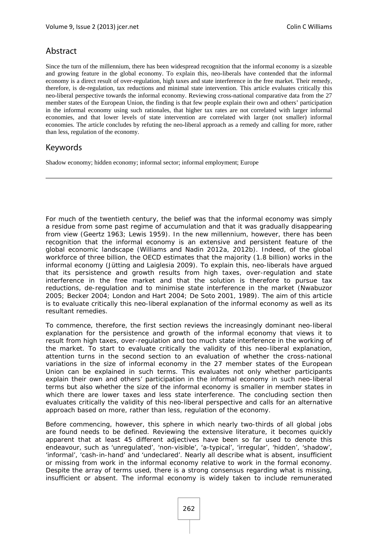## Abstract

Since the turn of the millennium, there has been widespread recognition that the informal economy is a sizeable and growing feature in the global economy. To explain this, neo-liberals have contended that the informal economy is a direct result of over-regulation, high taxes and state interference in the free market. Their remedy, therefore, is de-regulation, tax reductions and minimal state intervention. This article evaluates critically this neo-liberal perspective towards the informal economy. Reviewing cross-national comparative data from the 27 member states of the European Union, the finding is that few people explain their own and others' participation in the informal economy using such rationales, that higher tax rates are not correlated with larger informal economies, and that lower levels of state intervention are correlated with larger (not smaller) informal economies. The article concludes by refuting the neo-liberal approach as a remedy and calling for more, rather than less, regulation of the economy.

### Keywords

Shadow economy; hidden economy; informal sector; informal employment; Europe

For much of the twentieth century, the belief was that the informal economy was simply a residue from some past regime of accumulation and that it was gradually disappearing from view (Geertz 1963; Lewis 1959). In the new millennium, however, there has been recognition that the informal economy is an extensive and persistent feature of the global economic landscape (Williams and Nadin 2012a, 2012b). Indeed, of the global workforce of three billion, the OECD estimates that the majority (1.8 billion) works in the informal economy (Jütting and Laiglesia 2009). To explain this, neo-liberals have argued that its persistence and growth results from high taxes, over-regulation and state interference in the free market and that the solution is therefore to pursue tax reductions, de-regulation and to minimise state interference in the market (Nwabuzor 2005; Becker 2004; London and Hart 2004; De Soto 2001, 1989). The aim of this article is to evaluate critically this neo-liberal explanation of the informal economy as well as its resultant remedies.

To commence, therefore, the first section reviews the increasingly dominant neo-liberal explanation for the persistence and growth of the informal economy that views it to result from high taxes, over-regulation and too much state interference in the working of the market. To start to evaluate critically the validity of this neo-liberal explanation, attention turns in the second section to an evaluation of whether the cross-national variations in the size of informal economy in the 27 member states of the European Union can be explained in such terms. This evaluates not only whether participants explain their own and others' participation in the informal economy in such neo-liberal terms but also whether the size of the informal economy is smaller in member states in which there are lower taxes and less state interference. The concluding section then evaluates critically the validity of this neo-liberal perspective and calls for an alternative approach based on more, rather than less, regulation of the economy.

Before commencing, however, this sphere in which nearly two-thirds of all global jobs are found needs to be defined. Reviewing the extensive literature, it becomes quickly apparent that at least 45 different adjectives have been so far used to denote this endeavour, such as 'unregulated', 'non-visible', 'a-typical', 'irregular', 'hidden', 'shadow', 'informal', 'cash-in-hand' and 'undeclared'. Nearly all describe what is absent, insufficient or missing from work in the informal economy relative to work in the formal economy. Despite the array of terms used, there is a strong consensus regarding what is missing, insufficient or absent. The informal economy is widely taken to include remunerated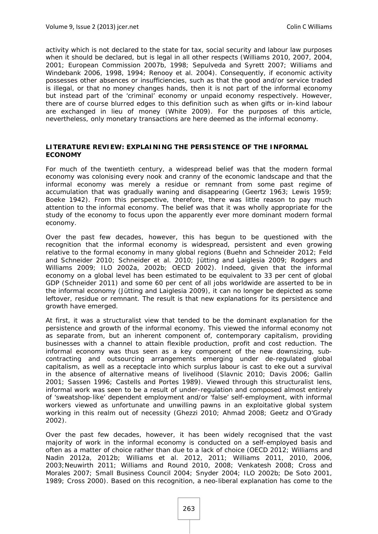activity which is not declared to the state for tax, social security and labour law purposes when it should be declared, but is legal in all other respects (Williams 2010, 2007, 2004, 2001; European Commission 2007b, 1998; Sepulveda and Syrett 2007; Williams and Windebank 2006, 1998, 1994; Renooy et al. 2004). Consequently, if economic activity possesses other absences or insufficiencies, such as that the good and/or service traded is illegal, or that no money changes hands, then it is not part of the informal economy but instead part of the 'criminal' economy or unpaid economy respectively. However, there are of course blurred edges to this definition such as when gifts or in-kind labour are exchanged in lieu of money (White 2009). For the purposes of this article, nevertheless, only monetary transactions are here deemed as the informal economy.

#### **LITERATURE REVIEW: EXPLAINING THE PERSISTENCE OF THE INFORMAL ECONOMY**

For much of the twentieth century, a widespread belief was that the modern formal economy was colonising every nook and cranny of the economic landscape and that the informal economy was merely a residue or remnant from some past regime of accumulation that was gradually waning and disappearing (Geertz 1963; Lewis 1959; Boeke 1942). From this perspective, therefore, there was little reason to pay much attention to the informal economy. The belief was that it was wholly appropriate for the study of the economy to focus upon the apparently ever more dominant modern formal economy.

Over the past few decades, however, this has begun to be questioned with the recognition that the informal economy is widespread, persistent and even growing relative to the formal economy in many global regions (Buehn and Schneider 2012; Feld and Schneider 2010; Schneider et al. 2010; Jütting and Laiglesia 2009; Rodgers and Williams 2009; ILO 2002a, 2002b; OECD 2002). Indeed, given that the informal economy on a global level has been estimated to be equivalent to 33 per cent of global GDP (Schneider 2011) and some 60 per cent of all jobs worldwide are asserted to be in the informal economy (Jütting and Laiglesia 2009), it can no longer be depicted as some leftover, residue or remnant. The result is that new explanations for its persistence and growth have emerged.

At first, it was a structuralist view that tended to be the dominant explanation for the persistence and growth of the informal economy. This viewed the informal economy not as separate from, but an inherent component of, contemporary capitalism, providing businesses with a channel to attain flexible production, profit and cost reduction. The informal economy was thus seen as a key component of the new downsizing, subcontracting and outsourcing arrangements emerging under de-regulated global capitalism, as well as a receptacle into which surplus labour is cast to eke out a survival in the absence of alternative means of livelihood (Slavnic 2010; Davis 2006; Gallin 2001; Sassen 1996; Castells and Portes 1989). Viewed through this structuralist lens, informal work was seen to be a result of under-regulation and composed almost entirely of 'sweatshop-like' dependent employment and/or 'false' self-employment, with informal workers viewed as unfortunate and unwilling pawns in an exploitative global system working in this realm out of necessity (Ghezzi 2010; Ahmad 2008; Geetz and O'Grady 2002).

Over the past few decades, however, it has been widely recognised that the vast majority of work in the informal economy is conducted on a self-employed basis and often as a matter of choice rather than due to a lack of choice (OECD 2012; Williams and Nadin 2012a, 2012b; Williams et al. 2012, 2011; Williams 2011, 2010, 2006, 2003;Neuwirth 2011; Williams and Round 2010, 2008; Venkatesh 2008; Cross and Morales 2007; Small Business Council 2004; Snyder 2004; ILO 2002b; De Soto 2001, 1989; Cross 2000). Based on this recognition, a neo-liberal explanation has come to the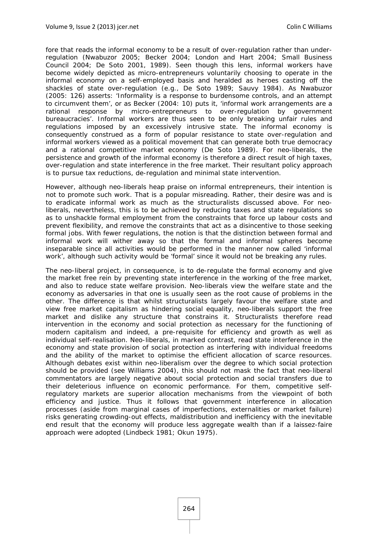fore that reads the informal economy to be a result of over-regulation rather than underregulation (Nwabuzor 2005; Becker 2004; London and Hart 2004; Small Business Council 2004; De Soto 2001, 1989). Seen though this lens, informal workers have become widely depicted as micro-entrepreneurs voluntarily choosing to operate in the informal economy on a self-employed basis and heralded as heroes casting off the shackles of state over-regulation (e.g., De Soto 1989; Sauvy 1984). As Nwabuzor (2005: 126) asserts: 'Informality is a response to burdensome controls, and an attempt to circumvent them', or as Becker (2004: 10) puts it, 'informal work arrangements are a rational response by micro-entrepreneurs to over-regulation by government bureaucracies'. Informal workers are thus seen to be only breaking unfair rules and regulations imposed by an excessively intrusive state. The informal economy is consequently construed as a form of popular resistance to state over-regulation and informal workers viewed as a political movement that can generate both true democracy and a rational competitive market economy (De Soto 1989). For neo-liberals, the persistence and growth of the informal economy is therefore a direct result of high taxes, over-regulation and state interference in the free market. Their resultant policy approach is to pursue tax reductions, de-regulation and minimal state intervention.

However, although neo-liberals heap praise on informal entrepreneurs, their intention is not to promote such work. That is a popular misreading. Rather, their desire was and is to eradicate informal work as much as the structuralists discussed above. For neoliberals, nevertheless, this is to be achieved by reducing taxes and state regulations so as to unshackle formal employment from the constraints that force up labour costs and prevent flexibility, and remove the constraints that act as a disincentive to those seeking formal jobs. With fewer regulations, the notion is that the distinction between formal and informal work will wither away so that the formal and informal spheres become inseparable since all activities would be performed in the manner now called 'informal work', although such activity would be 'formal' since it would not be breaking any rules.

The neo-liberal project, in consequence, is to de-regulate the formal economy and give the market free rein by preventing state interference in the working of the free market, and also to reduce state welfare provision. Neo-liberals view the welfare state and the economy as adversaries in that one is usually seen as the root cause of problems in the other. The difference is that whilst structuralists largely favour the welfare state and view free market capitalism as hindering social equality, neo-liberals support the free market and dislike any structure that constrains it. Structuralists therefore read intervention in the economy and social protection as necessary for the functioning of modern capitalism and indeed, a pre-requisite for efficiency and growth as well as individual self-realisation. Neo-liberals, in marked contrast, read state interference in the economy and state provision of social protection as interfering with individual freedoms and the ability of the market to optimise the efficient allocation of scarce resources. Although debates exist within neo-liberalism over the degree to which social protection should be provided (see Williams 2004), this should not mask the fact that neo-liberal commentators are largely negative about social protection and social transfers due to their deleterious influence on economic performance. For them, competitive selfregulatory markets are superior allocation mechanisms from the viewpoint of both efficiency and justice. Thus it follows that government interference in allocation processes (aside from marginal cases of imperfections, externalities or market failure) risks generating crowding-out effects, maldistribution and inefficiency with the inevitable end result that the economy will produce less aggregate wealth than if a laissez-faire approach were adopted (Lindbeck 1981; Okun 1975).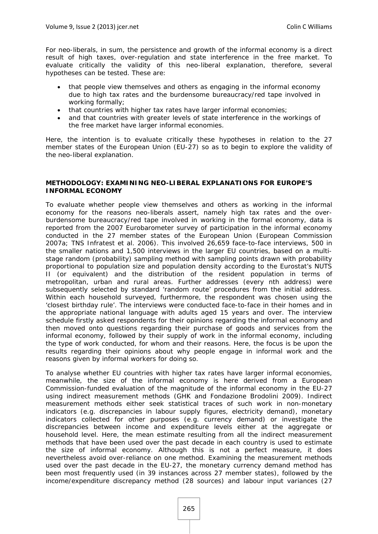For neo-liberals, in sum, the persistence and growth of the informal economy is a direct result of high taxes, over-regulation and state interference in the free market. To evaluate critically the validity of this neo-liberal explanation, therefore, several hypotheses can be tested. These are:

- that people view themselves and others as engaging in the informal economy due to high tax rates and the burdensome bureaucracy/red tape involved in working formally;
- that countries with higher tax rates have larger informal economies;
- and that countries with greater levels of state interference in the workings of the free market have larger informal economies.

Here, the intention is to evaluate critically these hypotheses in relation to the 27 member states of the European Union (EU-27) so as to begin to explore the validity of the neo-liberal explanation.

#### **METHODOLOGY: EXAMINING NEO-LIBERAL EXPLANATIONS FOR EUROPE'S INFORMAL ECONOMY**

To evaluate whether people view themselves and others as working in the informal economy for the reasons neo-liberals assert, namely high tax rates and the overburdensome bureaucracy/red tape involved in working in the formal economy, data is reported from the 2007 Eurobarometer survey of participation in the informal economy conducted in the 27 member states of the European Union (European Commission 2007a; TNS Infratest et al. 2006). This involved 26,659 face-to-face interviews, 500 in the smaller nations and 1,500 interviews in the larger EU countries, based on a multistage random (probability) sampling method with sampling points drawn with probability proportional to population size and population density according to the Eurostat's NUTS II (or equivalent) and the distribution of the resident population in terms of metropolitan, urban and rural areas. Further addresses (every nth address) were subsequently selected by standard 'random route' procedures from the initial address. Within each household surveyed, furthermore, the respondent was chosen using the 'closest birthday rule'. The interviews were conducted face-to-face in their homes and in the appropriate national language with adults aged 15 years and over. The interview schedule firstly asked respondents for their opinions regarding the informal economy and then moved onto questions regarding their purchase of goods and services from the informal economy, followed by their supply of work in the informal economy, including the type of work conducted, for whom and their reasons. Here, the focus is be upon the results regarding their opinions about why people engage in informal work and the reasons given by informal workers for doing so.

To analyse whether EU countries with higher tax rates have larger informal economies, meanwhile, the size of the informal economy is here derived from a European Commission-funded evaluation of the magnitude of the informal economy in the EU-27 using indirect measurement methods (GHK and Fondazione Brodolini 2009). Indirect measurement methods either seek statistical traces of such work in non-monetary indicators (e.g. discrepancies in labour supply figures, electricity demand), monetary indicators collected for other purposes (e.g. currency demand) or investigate the discrepancies between income and expenditure levels either at the aggregate or household level. Here, the mean estimate resulting from all the indirect measurement methods that have been used over the past decade in each country is used to estimate the size of informal economy. Although this is not a perfect measure, it does nevertheless avoid over-reliance on one method. Examining the measurement methods used over the past decade in the EU-27, the monetary currency demand method has been most frequently used (in 39 instances across 27 member states), followed by the income/expenditure discrepancy method (28 sources) and labour input variances (27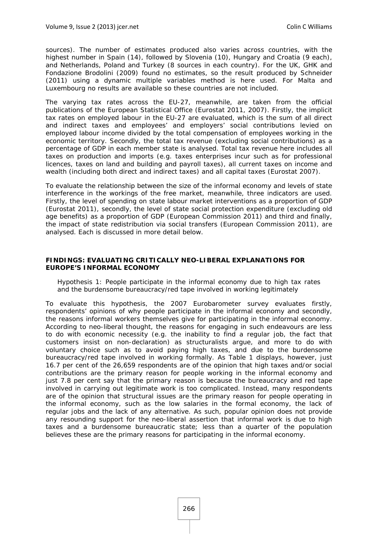sources). The number of estimates produced also varies across countries, with the highest number in Spain (14), followed by Slovenia (10), Hungary and Croatia (9 each), and Netherlands, Poland and Turkey (8 sources in each country). For the UK, GHK and Fondazione Brodolini (2009) found no estimates, so the result produced by Schneider (2011) using a dynamic multiple variables method is here used. For Malta and Luxembourg no results are available so these countries are not included.

The varying tax rates across the EU-27, meanwhile, are taken from the official publications of the European Statistical Office (Eurostat 2011, 2007). Firstly, the implicit tax rates on employed labour in the EU-27 are evaluated, which is the sum of all direct and indirect taxes and employees' and employers' social contributions levied on employed labour income divided by the total compensation of employees working in the economic territory. Secondly, the total tax revenue (excluding social contributions) as a percentage of GDP in each member state is analysed. Total tax revenue here includes all taxes on production and imports (e.g. taxes enterprises incur such as for professional licences, taxes on land and building and payroll taxes), all current taxes on income and wealth (including both direct and indirect taxes) and all capital taxes (Eurostat 2007).

To evaluate the relationship between the size of the informal economy and levels of state interference in the workings of the free market, meanwhile, three indicators are used. Firstly, the level of spending on state labour market interventions as a proportion of GDP (Eurostat 2011), secondly, the level of state social protection expenditure (excluding old age benefits) as a proportion of GDP (European Commission 2011) and third and finally, the impact of state redistribution via social transfers (European Commission 2011), are analysed. Each is discussed in more detail below.

#### **FINDINGS: EVALUATING CRITICALLY NEO-LIBERAL EXPLANATIONS FOR EUROPE'S INFORMAL ECONOMY**

#### *Hypothesis 1: People participate in the informal economy due to high tax rates and the burdensome bureaucracy/red tape involved in working legitimately*

To evaluate this hypothesis, the 2007 Eurobarometer survey evaluates firstly, respondents' opinions of why people participate in the informal economy and secondly, the reasons informal workers themselves give for participating in the informal economy. According to neo-liberal thought, the reasons for engaging in such endeavours are less to do with economic necessity (e.g. the inability to find a regular job, the fact that customers insist on non-declaration) as structuralists argue, and more to do with voluntary choice such as to avoid paying high taxes, and due to the burdensome bureaucracy/red tape involved in working formally. As Table 1 displays, however, just 16.7 per cent of the 26,659 respondents are of the opinion that high taxes and/or social contributions are the primary reason for people working in the informal economy and just 7.8 per cent say that the primary reason is because the bureaucracy and red tape involved in carrying out legitimate work is too complicated. Instead, many respondents are of the opinion that structural issues are the primary reason for people operating in the informal economy, such as the low salaries in the formal economy, the lack of regular jobs and the lack of any alternative. As such, popular opinion does not provide any resounding support for the neo-liberal assertion that informal work is due to high taxes and a burdensome bureaucratic state; less than a quarter of the population believes these are the primary reasons for participating in the informal economy.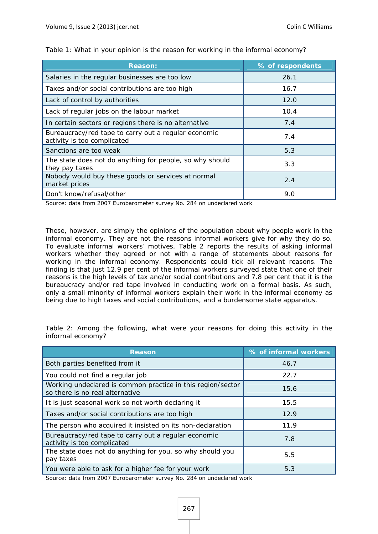| <b>Reason:</b>                                                                      | % of respondents |
|-------------------------------------------------------------------------------------|------------------|
| Salaries in the regular businesses are too low                                      | 26.1             |
| Taxes and/or social contributions are too high                                      | 16.7             |
| Lack of control by authorities                                                      | 12.0             |
| Lack of regular jobs on the labour market                                           | 10.4             |
| In certain sectors or regions there is no alternative                               | 7.4              |
| Bureaucracy/red tape to carry out a regular economic<br>activity is too complicated | 7.4              |
| Sanctions are too weak                                                              | 5.3              |
| The state does not do anything for people, so why should<br>they pay taxes          | 3.3              |
| Nobody would buy these goods or services at normal<br>market prices                 | 2.4              |
| Don't know/refusal/other                                                            | 9.0              |

*Table 1: What in your opinion is the reason for working in the informal economy?* 

Source: data from 2007 Eurobarometer survey No. 284 on undeclared work

These, however, are simply the opinions of the population about why people work in the informal economy. They are not the reasons informal workers give for why they do so. To evaluate informal workers' motives, Table 2 reports the results of asking informal workers whether they agreed or not with a range of statements about reasons for working in the informal economy. Respondents could tick all relevant reasons. The finding is that just 12.9 per cent of the informal workers surveyed state that one of their reasons is the high levels of tax and/or social contributions and 7.8 per cent that it is the bureaucracy and/or red tape involved in conducting work on a formal basis. As such, only a small minority of informal workers explain their work in the informal economy as being due to high taxes and social contributions, and a burdensome state apparatus.

*Table 2: Among the following, what were your reasons for doing this activity in the informal economy?* 

| <b>Reason</b>                                                                                  | % of informal workers |
|------------------------------------------------------------------------------------------------|-----------------------|
| Both parties benefited from it                                                                 | 46.7                  |
| You could not find a regular job                                                               | 22.7                  |
| Working undeclared is common practice in this region/sector<br>so there is no real alternative | 15.6                  |
| It is just seasonal work so not worth declaring it                                             | 15.5                  |
| Taxes and/or social contributions are too high                                                 | 12.9                  |
| The person who acquired it insisted on its non-declaration                                     | 11.9                  |
| Bureaucracy/red tape to carry out a regular economic<br>activity is too complicated            | 7.8                   |
| The state does not do anything for you, so why should you<br>pay taxes                         | 5.5                   |
| You were able to ask for a higher fee for your work                                            | 5.3                   |

Source: data from 2007 Eurobarometer survey No. 284 on undeclared work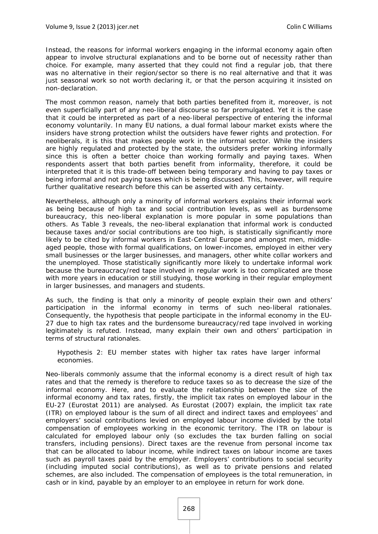Instead, the reasons for informal workers engaging in the informal economy again often appear to involve structural explanations and to be borne out of necessity rather than choice. For example, many asserted that they could not find a regular job, that there was no alternative in their region/sector so there is no real alternative and that it was just seasonal work so not worth declaring it, or that the person acquiring it insisted on non-declaration.

The most common reason, namely that both parties benefited from it, moreover, is not even superficially part of any neo-liberal discourse so far promulgated. Yet it is the case that it could be interpreted as part of a neo-liberal perspective of entering the informal economy voluntarily. In many EU nations, a dual formal labour market exists where the insiders have strong protection whilst the outsiders have fewer rights and protection. For neoliberals, it is this that makes people work in the informal sector. While the insiders are highly regulated and protected by the state, the outsiders prefer working informally since this is often a better choice than working formally and paying taxes. When respondents assert that both parties benefit from informality, therefore, it could be interpreted that it is this trade-off between being temporary and having to pay taxes or being informal and not paying taxes which is being discussed. This, however, will require further qualitative research before this can be asserted with any certainty.

Nevertheless, although only a minority of informal workers explains their informal work as being because of high tax and social contribution levels, as well as burdensome bureaucracy, this neo-liberal explanation is more popular in some populations than others. As Table 3 reveals, the neo-liberal explanation that informal work is conducted because taxes and/or social contributions are too high, is statistically significantly more likely to be cited by informal workers in East-Central Europe and amongst men, middleaged people, those with formal qualifications, on lower-incomes, employed in either very small businesses or the larger businesses, and managers, other white collar workers and the unemployed. Those statistically significantly more likely to undertake informal work because the bureaucracy/red tape involved in regular work is too complicated are those with more years in education or still studying, those working in their regular employment in larger businesses, and managers and students.

As such, the finding is that only a minority of people explain their own and others' participation in the informal economy in terms of such neo-liberal rationales. Consequently, the hypothesis that people participate in the informal economy in the EU-27 due to high tax rates and the burdensome bureaucracy/red tape involved in working legitimately is refuted. Instead, many explain their own and others' participation in terms of structural rationales.

*Hypothesis 2: EU member states with higher tax rates have larger informal economies.* 

Neo-liberals commonly assume that the informal economy is a direct result of high tax rates and that the remedy is therefore to reduce taxes so as to decrease the size of the informal economy. Here, and to evaluate the relationship between the size of the informal economy and tax rates, firstly, the implicit tax rates on employed labour in the EU-27 (Eurostat 2011) are analysed. As Eurostat (2007) explain, the implicit tax rate (ITR) on employed labour is the sum of all direct and indirect taxes and employees' and employers' social contributions levied on employed labour income divided by the total compensation of employees working in the economic territory. The ITR on labour is calculated for employed labour only (so excludes the tax burden falling on social transfers, including pensions). Direct taxes are the revenue from personal income tax that can be allocated to labour income, while indirect taxes on labour income are taxes such as payroll taxes paid by the employer. Employers' contributions to social security (including imputed social contributions), as well as to private pensions and related schemes, are also included. The compensation of employees is the total remuneration, in cash or in kind, payable by an employer to an employee in return for work done.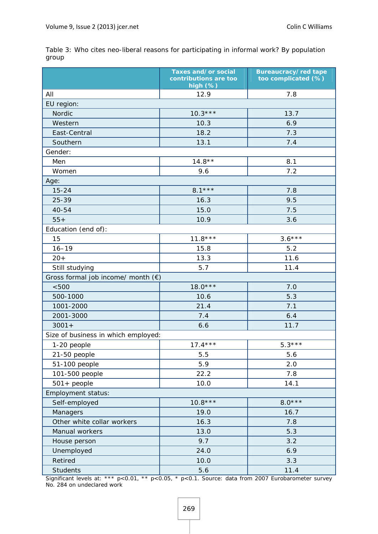|                                             | Taxes and/or social<br>contributions are too<br>high (%) | <b>Bureaucracy/red tape</b><br>too complicated (%) |
|---------------------------------------------|----------------------------------------------------------|----------------------------------------------------|
| All                                         | 12.9                                                     | 7.8                                                |
| EU region:                                  |                                                          |                                                    |
| Nordic                                      | $10.3***$                                                | 13.7                                               |
| Western                                     | 10.3                                                     | 6.9                                                |
| East-Central                                | 18.2                                                     | 7.3                                                |
| Southern                                    | 13.1                                                     | 7.4                                                |
| Gender:                                     |                                                          |                                                    |
| Men                                         | $14.8**$                                                 | 8.1                                                |
| Women                                       | 9.6                                                      | 7.2                                                |
| Age:                                        |                                                          |                                                    |
| $15 - 24$                                   | $8.1***$                                                 | 7.8                                                |
| 25-39                                       | 16.3                                                     | 9.5                                                |
| $40 - 54$                                   | 15.0                                                     | 7.5                                                |
| $55+$                                       | 10.9                                                     | 3.6                                                |
| Education (end of):                         |                                                          |                                                    |
| 15                                          | $11.8***$                                                | $3.6***$                                           |
| $16 - 19$                                   | 15.8                                                     | 5.2                                                |
| $20+$                                       | 13.3                                                     | 11.6                                               |
| Still studying                              | 5.7                                                      | 11.4                                               |
| Gross formal job income/ month $(\epsilon)$ |                                                          |                                                    |
| < 500                                       | $18.0***$                                                | 7.0                                                |
| 500-1000                                    | 10.6                                                     | 5.3                                                |
| 1001-2000                                   | 21.4                                                     | 7.1                                                |
| 2001-3000                                   | 7.4                                                      | 6.4                                                |
| $3001 +$                                    | 6.6                                                      | 11.7                                               |
| Size of business in which employed:         |                                                          |                                                    |
| 1-20 people                                 | $17.4***$                                                | $5.3***$                                           |
| 21-50 people                                | 5.5                                                      | 5.6                                                |
| 51-100 people                               | 5.9                                                      | 2.0                                                |
| 101-500 people                              | 22.2                                                     | 7.8                                                |
| $501 + people$                              | 10.0                                                     | 14.1                                               |
| <b>Employment status:</b>                   |                                                          |                                                    |
| Self-employed                               | $10.8***$                                                | $8.0***$                                           |
| Managers                                    | 19.0                                                     | 16.7                                               |
| Other white collar workers                  | 16.3                                                     | 7.8                                                |
| Manual workers                              | 13.0                                                     | 5.3                                                |
| House person                                | 9.7                                                      | 3.2                                                |
| Unemployed                                  | 24.0                                                     | 6.9                                                |
| Retired                                     | 10.0                                                     | 3.3                                                |
| <b>Students</b>                             | 5.6                                                      | 11.4                                               |

*Table 3: Who cites neo-liberal reasons for participating in informal work? By population group* 

Significant levels at: \*\*\* p<0.01, \*\* p<0.05, \* p<0.1. Source: data from 2007 Eurobarometer survey No. 284 on undeclared work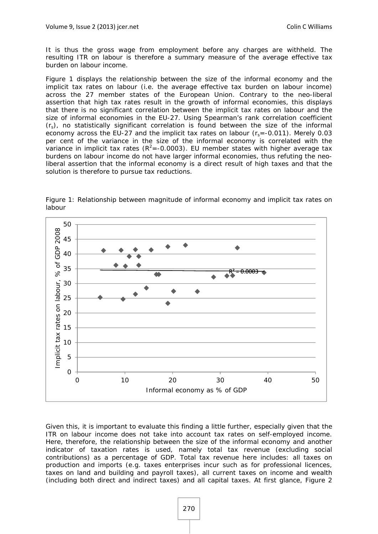It is thus the gross wage from employment before any charges are withheld. The resulting ITR on labour is therefore a summary measure of the average effective tax burden on labour income.

Figure 1 displays the relationship between the size of the informal economy and the implicit tax rates on labour (i.e. the average effective tax burden on labour income) across the 27 member states of the European Union. Contrary to the neo-liberal assertion that high tax rates result in the growth of informal economies, this displays that there is no significant correlation between the implicit tax rates on labour and the size of informal economies in the EU-27. Using Spearman's rank correlation coefficient  $(r<sub>s</sub>)$ , no statistically significant correlation is found between the size of the informal economy across the EU-27 and the implicit tax rates on labour  $(r_s = -0.011)$ . Merely 0.03 per cent of the variance in the size of the informal economy is correlated with the variance in implicit tax rates ( $R^2$ =-0.0003). EU member states with higher average tax burdens on labour income do not have larger informal economies, thus refuting the neoliberal assertion that the informal economy is a direct result of high taxes and that the solution is therefore to pursue tax reductions.



*Figure 1: Relationship between magnitude of informal economy and implicit tax rates on labour* 

Given this, it is important to evaluate this finding a little further, especially given that the ITR on labour income does not take into account tax rates on self-employed income. Here, therefore, the relationship between the size of the informal economy and another indicator of taxation rates is used, namely total tax revenue (excluding social contributions) as a percentage of GDP. Total tax revenue here includes: all taxes on production and imports (e.g. taxes enterprises incur such as for professional licences, taxes on land and building and payroll taxes), all current taxes on income and wealth (including both direct and indirect taxes) and all capital taxes. At first glance, Figure 2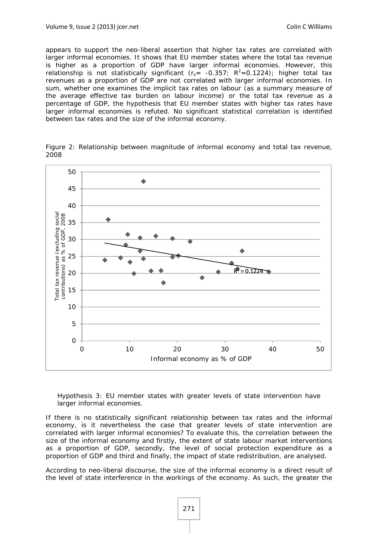appears to support the neo-liberal assertion that higher tax rates are correlated with larger informal economies. It shows that EU member states where the total tax revenue is higher as a proportion of GDP have larger informal economies. However, this relationship is not statistically significant ( $r_s$  = -0.357;  $R^2$  =0.1224); higher total tax revenues as a proportion of GDP are not correlated with larger informal economies. In sum, whether one examines the implicit tax rates on labour (as a summary measure of the average effective tax burden on labour income) or the total tax revenue as a percentage of GDP, the hypothesis that EU member states with higher tax rates have larger informal economies is refuted. No significant statistical correlation is identified between tax rates and the size of the informal economy.

*Figure 2: Relationship between magnitude of informal economy and total tax revenue, 2008* 



#### *Hypothesis 3: EU member states with greater levels of state intervention have larger informal economies.*

If there is no statistically significant relationship between tax rates and the informal economy, is it nevertheless the case that greater levels of state intervention are correlated with larger informal economies? To evaluate this, the correlation between the size of the informal economy and firstly, the extent of state labour market interventions as a proportion of GDP, secondly, the level of social protection expenditure as a proportion of GDP and third and finally, the impact of state redistribution, are analysed.

According to neo-liberal discourse, the size of the informal economy is a direct result of the level of state interference in the workings of the economy. As such, the greater the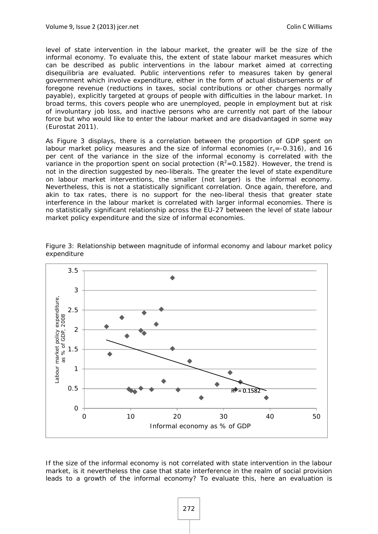level of state intervention in the labour market, the greater will be the size of the informal economy. To evaluate this, the extent of state labour market measures which can be described as public interventions in the labour market aimed at correcting disequilibria are evaluated. Public interventions refer to measures taken by general government which involve expenditure, either in the form of actual disbursements or of foregone revenue (reductions in taxes, social contributions or other charges normally payable), explicitly targeted at groups of people with difficulties in the labour market. In broad terms, this covers people who are unemployed, people in employment but at risk of involuntary job loss, and inactive persons who are currently not part of the labour force but who would like to enter the labour market and are disadvantaged in some way (Eurostat 2011).

As Figure 3 displays, there is a correlation between the proportion of GDP spent on labour market policy measures and the size of informal economies  $(r_s = -0.316)$ , and 16 per cent of the variance in the size of the informal economy is correlated with the variance in the proportion spent on social protection  $(R^2=0.1582)$ . However, the trend is not in the direction suggested by neo-liberals. The greater the level of state expenditure on labour market interventions, the smaller (not larger) is the informal economy. Nevertheless, this is not a statistically significant correlation. Once again, therefore, and akin to tax rates, there is no support for the neo-liberal thesis that greater state interference in the labour market is correlated with larger informal economies. There is no statistically significant relationship across the EU-27 between the level of state labour market policy expenditure and the size of informal economies.



*Figure 3: Relationship between magnitude of informal economy and labour market policy expenditure* 

If the size of the informal economy is not correlated with state intervention in the labour market, is it nevertheless the case that state interference in the realm of social provision leads to a growth of the informal economy? To evaluate this, here an evaluation is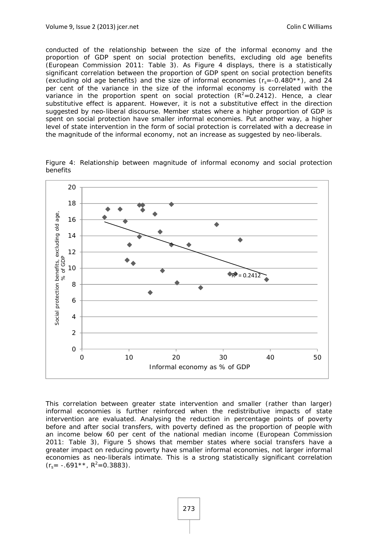conducted of the relationship between the size of the informal economy and the proportion of GDP spent on social protection benefits, excluding old age benefits (European Commission 2011: Table 3). As Figure 4 displays, there is a statistically significant correlation between the proportion of GDP spent on social protection benefits (excluding old age benefits) and the size of informal economies  $(r_s = -0.480**)$ , and 24 per cent of the variance in the size of the informal economy is correlated with the variance in the proportion spent on social protection  $(R^2=0.2412)$ . Hence, a clear substitutive effect is apparent. However, it is not a substitutive effect in the direction suggested by neo-liberal discourse. Member states where a higher proportion of GDP is spent on social protection have smaller informal economies. Put another way, a higher level of state intervention in the form of social protection is correlated with a decrease in the magnitude of the informal economy, not an increase as suggested by neo-liberals.



*Figure 4: Relationship between magnitude of informal economy and social protection benefits* 

This correlation between greater state intervention and smaller (rather than larger) informal economies is further reinforced when the redistributive impacts of state intervention are evaluated. Analysing the reduction in percentage points of poverty before and after social transfers, with poverty defined as the proportion of people with an income below 60 per cent of the national median income (European Commission 2011: Table 3), Figure 5 shows that member states where social transfers have a greater impact on reducing poverty have smaller informal economies, not larger informal economies as neo-liberals intimate. This is a strong statistically significant correlation  $(r<sub>s</sub>= -.691**$ ,  $R<sup>2</sup>=0.3883$ ).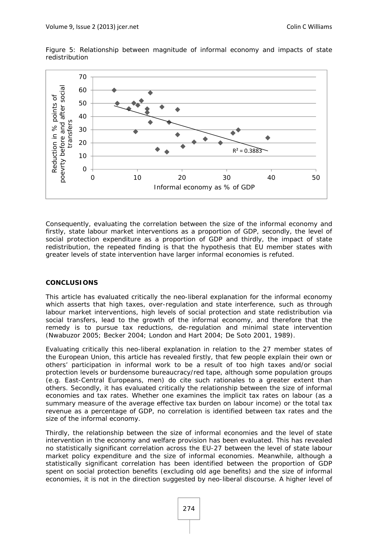

*Figure 5: Relationship between magnitude of informal economy and impacts of state redistribution* 

Consequently, evaluating the correlation between the size of the informal economy and firstly, state labour market interventions as a proportion of GDP, secondly, the level of social protection expenditure as a proportion of GDP and thirdly, the impact of state redistribution, the repeated finding is that the hypothesis that EU member states with greater levels of state intervention have larger informal economies is refuted.

#### **CONCLUSIONS**

This article has evaluated critically the neo-liberal explanation for the informal economy which asserts that high taxes, over-regulation and state interference, such as through labour market interventions, high levels of social protection and state redistribution via social transfers, lead to the growth of the informal economy, and therefore that the remedy is to pursue tax reductions, de-regulation and minimal state intervention (Nwabuzor 2005; Becker 2004; London and Hart 2004; De Soto 2001, 1989).

Evaluating critically this neo-liberal explanation in relation to the 27 member states of the European Union, this article has revealed firstly, that few people explain their own or others' participation in informal work to be a result of too high taxes and/or social protection levels or burdensome bureaucracy/red tape, although some population groups (e.g. East-Central Europeans, men) do cite such rationales to a greater extent than others. Secondly, it has evaluated critically the relationship between the size of informal economies and tax rates. Whether one examines the implicit tax rates on labour (as a summary measure of the average effective tax burden on labour income) or the total tax revenue as a percentage of GDP, no correlation is identified between tax rates and the size of the informal economy.

Thirdly, the relationship between the size of informal economies and the level of state intervention in the economy and welfare provision has been evaluated. This has revealed no statistically significant correlation across the EU-27 between the level of state labour market policy expenditure and the size of informal economies. Meanwhile, although a statistically significant correlation has been identified between the proportion of GDP spent on social protection benefits (excluding old age benefits) and the size of informal economies, it is not in the direction suggested by neo-liberal discourse. A higher level of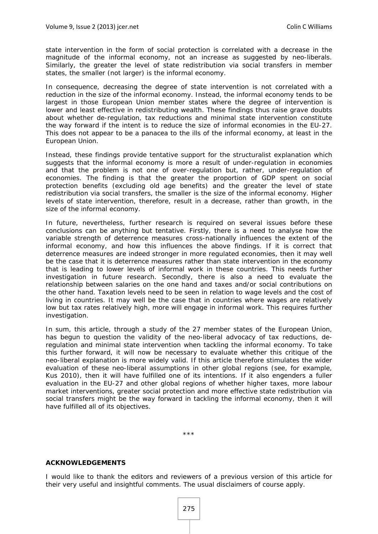state intervention in the form of social protection is correlated with a decrease in the magnitude of the informal economy, not an increase as suggested by neo-liberals. Similarly, the greater the level of state redistribution via social transfers in member states, the smaller (not larger) is the informal economy.

In consequence, decreasing the degree of state intervention is not correlated with a reduction in the size of the informal economy. Instead, the informal economy tends to be largest in those European Union member states where the degree of intervention is lower and least effective in redistributing wealth. These findings thus raise grave doubts about whether de-regulation, tax reductions and minimal state intervention constitute the way forward if the intent is to reduce the size of informal economies in the EU-27. This does not appear to be a panacea to the ills of the informal economy, at least in the European Union.

Instead, these findings provide tentative support for the structuralist explanation which suggests that the informal economy is more a result of under-regulation in economies and that the problem is not one of over-regulation but, rather, under-regulation of economies. The finding is that the greater the proportion of GDP spent on social protection benefits (excluding old age benefits) and the greater the level of state redistribution via social transfers, the smaller is the size of the informal economy. Higher levels of state intervention, therefore, result in a decrease, rather than growth, in the size of the informal economy.

In future, nevertheless, further research is required on several issues before these conclusions can be anything but tentative. Firstly, there is a need to analyse how the variable strength of deterrence measures cross-nationally influences the extent of the informal economy, and how this influences the above findings. If it is correct that deterrence measures are indeed stronger in more regulated economies, then it may well be the case that it is deterrence measures rather than state intervention in the economy that is leading to lower levels of informal work in these countries. This needs further investigation in future research. Secondly, there is also a need to evaluate the relationship between salaries on the one hand and taxes and/or social contributions on the other hand. Taxation levels need to be seen in relation to wage levels and the cost of living in countries. It may well be the case that in countries where wages are relatively low but tax rates relatively high, more will engage in informal work. This requires further investigation.

In sum, this article, through a study of the 27 member states of the European Union, has begun to question the validity of the neo-liberal advocacy of tax reductions, deregulation and minimal state intervention when tackling the informal economy. To take this further forward, it will now be necessary to evaluate whether this critique of the neo-liberal explanation is more widely valid. If this article therefore stimulates the wider evaluation of these neo-liberal assumptions in other global regions (see, for example, Kus 2010), then it will have fulfilled one of its intentions. If it also engenders a fuller evaluation in the EU-27 and other global regions of whether higher taxes, more labour market interventions, greater social protection and more effective state redistribution via social transfers might be the way forward in tackling the informal economy, then it will have fulfilled all of its objectives.

\*\*\*

#### **ACKNOWLEDGEMENTS**

I would like to thank the editors and reviewers of a previous version of this article for their very useful and insightful comments. The usual disclaimers of course apply.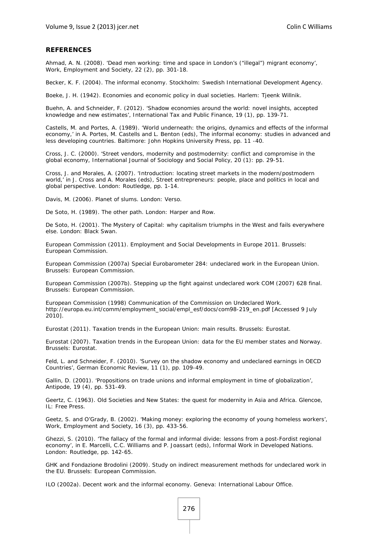#### **REFERENCES**

Ahmad, A. N. (2008). 'Dead men working: time and space in London's ("illegal") migrant economy', *Work, Employment and Society*, 22 (2), pp. 301-18.

Becker, K. F. (2004). *The informal economy*. Stockholm: Swedish International Development Agency.

Boeke, J. H. (1942). *Economies and economic policy in dual societies*. Harlem: Tjeenk Willnik.

Buehn, A. and Schneider, F. (2012). 'Shadow economies around the world: novel insights, accepted knowledge and new estimates', *International Tax and Public Finance*, 19 (1), pp. 139-71.

Castells, M. and Portes, A. (1989). 'World underneath: the origins, dynamics and effects of the informal economy,' in A. Portes, M. Castells and L. Benton (eds), *The informal economy: studies in advanced and less developing countries*. Baltimore: John Hopkins University Press, pp. 11 -40.

Cross, J. C. (2000). 'Street vendors, modernity and postmodernity: conflict and compromise in the global economy, *International Journal of Sociology and Social Policy*, 20 (1): pp. 29-51.

Cross, J. and Morales, A. (2007). 'Introduction: locating street markets in the modern/postmodern world,' in J. Cross and A. Morales (eds), *Street entrepreneurs: people, place and politics in local and global perspective*. London: Routledge, pp. 1-14.

Davis, M. (2006). *Planet of slums*. London: Verso.

De Soto, H. (1989). *The other path.* London: Harper and Row.

De Soto, H. (2001). *The Mystery of Capital: why capitalism triumphs in the West and fails everywhere else*. London: Black Swan.

European Commission (2011). *Employment and Social Developments in Europe 2011*. Brussels: European Commission.

European Commission (2007a) *Special Eurobarometer 284: undeclared work in the European Union*. Brussels: European Commission.

European Commission (2007b). *Stepping up the fight against undeclared work COM (2007) 628 final.*  Brussels: European Commission.

European Commission (1998) *Communication of the Commission on Undeclared Work*. http://europa.eu.int/comm/employment\_social/empl\_esf/docs/com98-219\_en.pdf [Accessed 9 July 2010].

Eurostat (2011). *Taxation trends in the European Union: main results*. Brussels: Eurostat.

Eurostat (2007). *Taxation trends in the European Union: data for the EU member states and Norway*. Brussels: Eurostat.

Feld, L. and Schneider, F. (2010). 'Survey on the shadow economy and undeclared earnings in OECD Countries', *German Economic Review*, 11 (1), pp. 109-49.

Gallin, D. (2001). 'Propositions on trade unions and informal employment in time of globalization', *Antipode*, 19 (4), pp. 531-49.

Geertz, C. (1963). *Old Societies and New States: the quest for modernity in Asia and Africa*. Glencoe, IL: Free Press.

Geetz, S. and O'Grady, B. (2002). 'Making money: exploring the economy of young homeless workers', *Work, Employment and Society*, 16 (3), pp. 433-56.

Ghezzi, S. (2010). 'The fallacy of the formal and informal divide: lessons from a post-Fordist regional economy', in E. Marcelli, C.C. Williams and P. Joassart (eds), *Informal Work in Developed Nations*. London: Routledge, pp. 142-65.

GHK and Fondazione Brodolini (2009). *Study on indirect measurement methods for undeclared work in the EU*. Brussels: European Commission.

ILO (2002a). *Decent work and the informal economy*. Geneva: International Labour Office.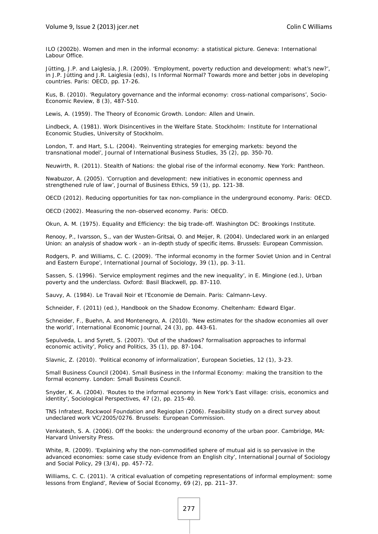ILO (2002b). *Women and men in the informal economy: a statistical picture.* Geneva: International Labour Office.

Jütting, J.P. and Laiglesia, J.R. (2009). 'Employment, poverty reduction and development: what's new?', in J.P. Jütting and J.R. Laiglesia (eds), *Is Informal Normal? Towards more and better jobs in developing countries*. Paris: OECD, pp. 17-26.

Kus, B. (2010). 'Regulatory governance and the informal economy: cross-national comparisons', Socio-Economic Review, 8 (3), 487-510.

Lewis, A. (1959). *The Theory of Economic Growth*. London: Allen and Unwin.

Lindbeck, A. (1981). *Work Disincentives in the Welfare State*. Stockholm: Institute for International Economic Studies, University of Stockholm.

London, T. and Hart, S.L. (2004). 'Reinventing strategies for emerging markets: beyond the transnational model', *Journal of International Business Studies*, 35 (2), pp. 350-70.

Neuwirth, R. (2011). *Stealth of Nations: the global rise of the informal economy*. New York: Pantheon.

Nwabuzor, A. (2005). 'Corruption and development: new initiatives in economic openness and strengthened rule of law', *Journal of Business Ethics*, 59 (1), pp. 121-38.

OECD (2012). *Reducing opportunities for tax non-compliance in the underground economy*. Paris: OECD.

OECD (2002). *Measuring the non-observed economy*. Paris: OECD.

Okun, A. M. (1975). *Equality and Efficiency: the big trade-off*. Washington DC: Brookings Institute.

Renooy, P., Ivarsson, S., van der Wusten-Gritsai, O. and Meijer, R. (2004). *Undeclared work in an enlarged Union: an analysis of shadow work - an in-depth study of specific items*. Brussels: European Commission.

Rodgers, P. and Williams, C. C. (2009). 'The informal economy in the former Soviet Union and in Central and Eastern Europe', *International Journal of Sociology*, 39 (1), pp. 3-11.

Sassen, S. (1996). 'Service employment regimes and the new inequality', in E. Mingione (ed.), *Urban poverty and the underclass*. Oxford: Basil Blackwell, pp. 87-110.

Sauvy, A. (1984). *Le Travail Noir et l'Economie de Demain*. Paris: Calmann-Levy.

Schneider, F. (2011) (ed.), *Handbook on the Shadow Economy*. Cheltenham: Edward Elgar.

Schneider, F., Buehn, A. and Montenegro, A. (2010). 'New estimates for the shadow economies all over the world', *International Economic Journal*, 24 (3), pp. 443-61.

Sepulveda, L. and Syrett, S. (2007). 'Out of the shadows? formalisation approaches to informal economic activity', *Policy and Politics*, 35 (1), pp. 87-104.

Slavnic, Z. (2010). 'Political economy of informalization', *European Societies*, 12 (1), 3-23.

Small Business Council (2004). *Small Business in the Informal Economy: making the transition to the formal economy*. London: Small Business Council.

Snyder, K. A. (2004). 'Routes to the informal economy in New York's East village: crisis, economics and identity', *Sociological Perspectives*, 47 (2), pp. 215-40.

TNS Infratest, Rockwool Foundation and Regioplan (2006). *Feasibility study on a direct survey about undeclared work VC/2005/0276*. Brussels: European Commission.

Venkatesh, S. A. (2006). *Off the books: the underground economy of the urban poor*. Cambridge, MA: Harvard University Press.

White, R. (2009). 'Explaining why the non-commodified sphere of mutual aid is so pervasive in the advanced economies: some case study evidence from an English city', *International Journal of Sociology and Social Policy,* 29 (3/4), pp. 457-72.

Williams, C. C. (2011). 'A critical evaluation of competing representations of informal employment: some lessons from England', *Review of Social Economy*, 69 (2), pp. 211–37.